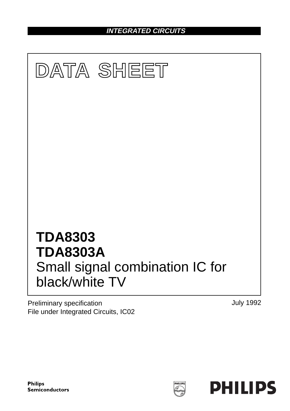**INTEGRATED CIRCUITS**



Preliminary specification File under Integrated Circuits, IC02 July 1992

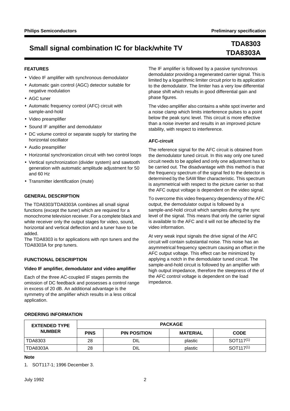# **TDA8303A**

## **FEATURES**

- Video IF amplifier with synchronous demodulator
- Automatic gain control (AGC) detector suitable for negative modulation
- AGC tuner
- Automatic frequency control (AFC) circuit with sample-and-hold
- Video preamplifier
- Sound IF amplifier and demodulator
- DC volume control or separate supply for starting the horizontal oscillator
- Audio preamplifier
- Horizontal synchronization circuit with two control loops
- Vertical synchronization (divider system) and sawtooth generation with automatic amplitude adjustment for 50 and 60 Hz
- Transmitter identification (mute)

## **GENERAL DESCRIPTION**

The TDA8303/TDA8303A combines all small signal functions (except the tuner) which are required for a monochrome television receiver. For a complete black and white receiver only the output stages for video, sound, horizontal and vertical deflection and a tuner have to be added.

The TDA8303 is for applications with npn tuners and the TDA8303A for pnp tuners.

## **FUNCTIONAL DESCRIPTION**

#### **Video IF amplifier, demodulator and video amplifier**

Each of the three AC-coupled IF stages permits the omission of DC feedback and possesses a control range in excess of 20 dB. An additional advantage is the symmetry of the amplifier which results in a less critical application.

The IF amplifier is followed by a passive synchronous demodulator providing a regenerated carrier signal. This is limited by a logarithmic limiter circuit prior to its application to the demodulator. The limiter has a very low differential phase shift which results in good differential gain and phase figures.

The video amplifier also contains a white spot inverter and a noise clamp which limits interference pulses to a point below the peak sync level. This circuit is more effective than a noise inverter and results in an improved picture stability, with respect to interference.

## **AFC-circuit**

The reference signal for the AFC circuit is obtained from the demodulator tuned circuit. In this way only one tuned circuit needs to be applied and only one adjustment has to be carried out. The disadvantage with this method is that the frequency spectrum of the signal fed to the detector is determined by the SAW filter characteristic. This spectrum is asymmetrical with respect to the picture carrier so that the AFC output voltage is dependent on the video signal.

To overcome this video frequency dependency of the AFC output, the demodulator output is followed by a sample-and-hold circuit which samples during the sync level of the signal. This means that only the carrier signal is available to the AFC and it will not be affected by the video information.

At very weak input signals the drive signal of the AFC circuit will contain substantial noise. This noise has an asymmetrical frequency spectrum causing an offset in the AFC output voltage. This effect can be minimized by applying a notch in the demodulator tuned circuit. The sample-and-hold circuit is followed by an amplifier with high output impedance, therefore the steepness of the of the AFC control voltage is dependent on the load impedance.

#### **ORDERING INFORMATION**

| <b>EXTENDED TYPE</b> | <b>PACKAGE</b> |                     |                 |                                  |  |  |
|----------------------|----------------|---------------------|-----------------|----------------------------------|--|--|
| <b>NUMBER</b>        | <b>PINS</b>    | <b>PIN POSITION</b> | <b>MATERIAL</b> | <b>CODE</b>                      |  |  |
| TDA8303              | 28             | DIL                 | plastic         | SOT <sub>117<sup>(1)</sup></sub> |  |  |
| <b>TDA8303A</b>      | 28             | DIL                 | plastic         | $SOT117^{(1)}$                   |  |  |

#### **Note**

1. SOT117-1; 1996 December 3.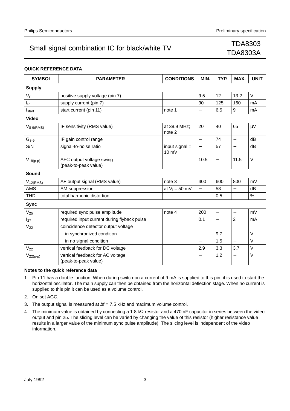# TDA8303A

### **QUICK REFERENCE DATA**

| <b>SYMBOL</b>                                | <b>PARAMETER</b>                                         | <b>CONDITIONS</b>         | MIN.                     | TYP.                     | MAX.                     | <b>UNIT</b> |
|----------------------------------------------|----------------------------------------------------------|---------------------------|--------------------------|--------------------------|--------------------------|-------------|
| <b>Supply</b>                                |                                                          |                           |                          |                          |                          |             |
| $V_P$                                        | positive supply voltage (pin 7)                          |                           | 9.5                      | 12                       | 13.2                     | $\vee$      |
| I <sub>P</sub>                               | supply current (pin 7)                                   |                           | 90                       | 125                      | 160                      | mA          |
| $I_{start}$                                  | start current (pin 11)                                   | note 1                    | $\overline{\phantom{0}}$ | 6.5                      | 9                        | mA          |
| <b>Video</b>                                 |                                                          |                           |                          |                          |                          |             |
| IF sensitivity (RMS value)<br>$V_{8-9(RMS)}$ |                                                          | at 38.9 MHz;<br>note 2    | 20                       | 40                       | 65                       | $\mu V$     |
| $\mathsf{G}_{8\text{-}9}$                    | IF gain control range                                    |                           | $\overline{\phantom{0}}$ | 74                       | $\equiv$                 | dB          |
| S/N                                          | signal-to-noise ratio                                    | input signal $=$<br>10 mV | $\overline{\phantom{0}}$ | 57                       |                          | dB          |
| $V_{18(p-p)}$                                | AFC output voltage swing<br>(peak-to-peak value)         |                           | 10.5                     | $\overline{\phantom{0}}$ | 11.5                     | V           |
| Sound                                        |                                                          |                           |                          |                          |                          |             |
| $V_{12(RMS)}$                                | AF output signal (RMS value)                             | note 3                    | 400                      | 600                      | 800                      | mV          |
| <b>AMS</b>                                   | AM suppression                                           | at $V_1 = 50$ mV          | $\overline{\phantom{0}}$ | 58                       | $\overline{\phantom{0}}$ | dB          |
| <b>THD</b>                                   | total harmonic distortion                                |                           | $\overline{\phantom{0}}$ | 0.5                      | $\overline{\phantom{0}}$ | %           |
| <b>Sync</b>                                  |                                                          |                           |                          |                          |                          |             |
| $V_{25}$                                     | required sync pulse amplitude                            | note 4                    | 200                      | $\equiv$                 | $\overline{\phantom{0}}$ | mV          |
| $I_{27}$                                     | required input current during flyback pulse              |                           | 0.1                      | $\overline{\phantom{0}}$ | $\overline{2}$           | mA          |
| $V_{22}$                                     | coincidence detector output voltage                      |                           |                          |                          |                          |             |
|                                              | in synchronized condition                                |                           |                          | 9.7                      |                          | V           |
|                                              | in no signal condition                                   |                           |                          | 1.5                      | $\overline{\phantom{0}}$ | V           |
| $V_{22}$                                     | vertical feedback for DC voltage                         |                           | 2.9                      | 3.3                      | 3.7                      | V           |
| $V_{22(p-p)}$                                | vertical feedback for AC voltage<br>(peak-to-peak value) |                           |                          | 1.2                      |                          | $\vee$      |

#### **Notes to the quick reference data**

- 1. Pin 11 has a double function. When during switch-on a current of 9 mA is supplied to this pin, it is used to start the horizontal oscillator. The main supply can then be obtained from the horizontal deflection stage. When no current is supplied to this pin it can be used as a volume control.
- 2. On set AGC.
- 3. The output signal is measured at  $\Delta f = 7.5$  kHz and maximum volume control.
- 4. The minimum value is obtained by connecting a 1.8 kΩ resistor and a 470 nF capacitor in series between the video output and pin 25. The slicing level can be varied by changing the value of this resistor (higher resistance value results in a larger value of the minimum sync pulse amplitude). The slicing level is independent of the video information.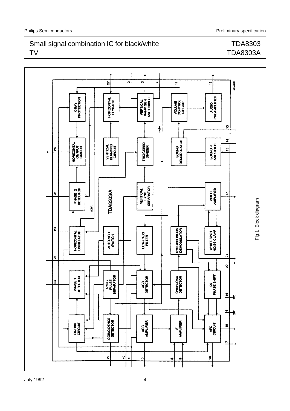## TDA8303 TDA8303A

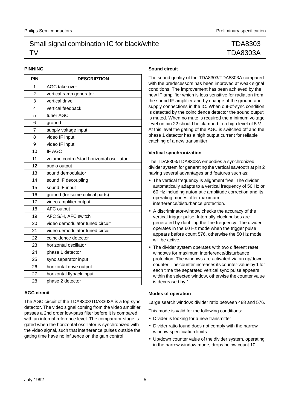## TDA8303 TDA8303A

## **PINNING**

| PIN            | <b>DESCRIPTION</b>                         |
|----------------|--------------------------------------------|
| 1              | AGC take-over                              |
| 2              | vertical ramp generator                    |
| 3              | vertical drive                             |
| 4              | vertical feedback                          |
| 5              | tuner AGC                                  |
| 6              | ground                                     |
| $\overline{7}$ | supply voltage input                       |
| 8              | video IF input                             |
| 9              | video IF input                             |
| 10             | IF AGC                                     |
| 11             | volume control/start horizontal oscillator |
| 12             | audio output                               |
| 13             | sound demodulator                          |
| 14             | sound IF decoupling                        |
| 15             | sound IF input                             |
| 16             | ground (for some critical parts)           |
| 17             | video amplifier output                     |
| 18             | <b>AFC</b> output                          |
| 19             | AFC S/H, AFC switch                        |
| 20             | video demodulator tuned circuit            |
| 21             | video demodulator tuned circuit            |
| 22             | coincidence detector                       |
| 23             | horizontal oscillator                      |
| 24             | phase 1 detector                           |
| 25             | sync separator input                       |
| 26             | horizontal drive output                    |
| 27             | horizontal flyback input                   |
| 28             | phase 2 detector                           |

## **AGC circuit**

The AGC circuit of the TDA8303/TDA8303A is a top-sync detector. The video signal coming from the video amplifier passes a 2nd order low-pass filter before it is compared with an internal reference level. The comparator stage is gated when the horizontal oscillator is synchronized with the video signal, such that interference pulses outside the gating time have no influence on the gain control.

#### **Sound circuit**

The sound quality of the TDA8303/TDA8303A compared with the predecessors has been improved at weak signal conditions. The improvement has been achieved by the new IF amplifier which is less sensitive for radiation from the sound IF amplifier and by change of the ground and supply connections in the IC. When out-of-sync condition is detected by the coincidence detector the sound output is muted. When no mute is required the minimum voltage level on pin 22 should be clamped to a high level of 5 V. At this level the gating of the AGC is switched off and the phase 1 detector has a high output current for reliable catching of a new transmitter.

## **Vertical synchronization**

The TDA8303/TDA8303A embodies a synchronized divider system for generating the vertical sawtooth at pin 2 having several advantages and features such as:

- The vertical frequency is alignment free. The divider automatically adapts to a vertical frequency of 50 Hz or 60 Hz including automatic amplitude correction and its operating modes offer maximum interference/disturbance protection.
- A discriminator-window checks the accuracy of the vertical trigger pulse. Internally clock pulses are generated by doubling the line frequency. The divider operates in the 60 Hz mode when the trigger pulse appears before count 576, otherwise the 50 Hz mode will be active.
- The divider system operates with two different reset windows for maximum interference/disturbance protection. The windows are activated via an up/down counter. The counter increases its counter-value by 1 for each time the separated vertical sync pulse appears within the selected window, otherwise the counter value is decreased by 1.

## **Modes of operation**

Large search window: divider ratio between 488 and 576.

This mode is valid for the following conditions:

- Divider is looking for a new transmitter
- Divider ratio found does not comply with the narrow window specification limits
- Up/down counter value of the divider system, operating in the narrow window mode, drops below count 10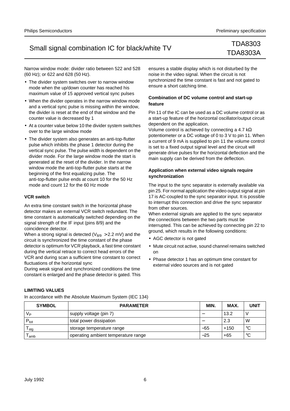# TDA8303A

Narrow window mode: divider ratio between 522 and 528 (60 Hz); or 622 and 628 (50 Hz).

- The divider system switches over to narrow window mode when the up/down counter has reached his maximum value of 15 approved vertical sync pulses
- When the divider operates in the narrow window mode and a vertical sync pulse is missing within the window, the divider is reset at the end of that window and the counter value is decreased by 1
- At a counter value below 10 the divider system switches over to the large window mode
- The divider system also generates an anti-top-flutter pulse which inhibits the phase 1 detector during the vertical sync pulse. The pulse width is dependent on the divider mode. For the large window mode the start is generated at the reset of the divider. In the narrow window mode the anti-top-flutter pulse starts at the beginning of the first equalizing pulse. The anti-top-flutter pulse ends at count 10 for the 50 Hz mode and count 12 for the 60 Hz mode

#### **VCR switch**

An extra time constant switch in the horizontal phase detector makes an external VCR switch redundant. The time constant is automatically switched depending on the signal strength of the IF input (pins 8/9) and the coincidence detector.

When a strong signal is detected ( $V_{8/9} > 2.2$  mV) and the circuit is synchronized the time constant of the phase detector is optimum for VCR playback, a fast time constant during the vertical retrace to correct head errors of the VCR and during scan a sufficient time constant to correct fluctuations of the horizontal sync

During weak signal and synchronized conditions the time constant is enlarged and the phase detector is gated. This

ensures a stable display which is not disturbed by the noise in the video signal. When the circuit is not synchronized the time constant is fast and not gated to ensure a short catching time.

## **Combination of DC volume control and start-up feature**

Pin 11 of the IC can be used as a DC volume control or as a start-up feature of the horizontal oscillator/output circuit dependent on the application.

Volume control is achieved by connecting a 4.7 k $\Omega$ potentiometer or a DC voltage of 0 to 3 V to pin 11. When a current of 9 mA is supplied to pin 11 the volume control is set to a fixed output signal level and the circuit will generate drive pulses for the horizontal deflection and the main supply can be derived from the deflection.

## **Application when external video signals require synchronization**

The input to the sync separator is externally available via pin 25. For normal application the video output signal at pin 17 is AC-coupled to the sync separator input. It is possible to interrupt this connection and drive the sync separator from other sources.

When external signals are applied to the sync separator the connections between the two parts must be interrupted. This can be achieved by connecting pin 22 to ground, which results in the following conditions:

- AGC detector is not gated
- Mute circuit not active, sound channel remains switched on
- Phase detector 1 has an optimum time constant for external video sources and is not gated

#### **LIMITING VALUES**

In accordance with the Absolute Maximum System (IEC 134)

| <b>SYMBOL</b>    | <b>PARAMETER</b>                    |       | <b>MAX</b> | <b>UNIT</b> |
|------------------|-------------------------------------|-------|------------|-------------|
| Vь               | supply voltage (pin 7)              |       | 13.2       |             |
| $P_{\text{tot}}$ | total power dissipation             |       | 2.3        | W           |
| l stg            | storage temperature range           | $-55$ | $+150$     | °C          |
| amb              | operating ambient temperature range | $-25$ | $+65$      | $^{\circ}C$ |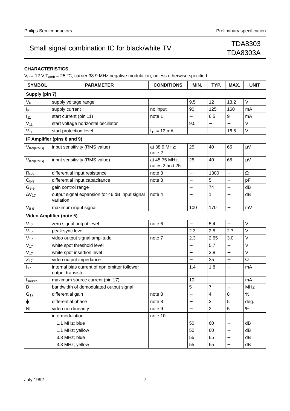# TDA8303A

## **CHARACTERISTICS**

 $V_P = 12$  V; T<sub>amb</sub> = 25 °C; carrier 38.9 MHz negative modulation, unless otherwise specified

| <b>SYMBOL</b>       | <b>PARAMETER</b>                                                   | <b>CONDITIONS</b>               | MIN.                     | TYP.                     | MAX.                     | <b>UNIT</b> |
|---------------------|--------------------------------------------------------------------|---------------------------------|--------------------------|--------------------------|--------------------------|-------------|
| Supply (pin 7)      |                                                                    |                                 |                          |                          |                          |             |
| V <sub>P</sub>      | supply voltage range                                               |                                 | 9.5                      | 12                       | 13.2                     | V           |
| Ιp                  | supply current                                                     | no input                        | 90                       | 125                      | 160                      | mA          |
| $I_{11}$            | start current (pin 11)                                             | note 1                          | —                        | 6.5                      | 9                        | mA          |
| $V_{11}$            | start voltage horizontal oscillator                                |                                 | 9.5                      |                          |                          | $\vee$      |
| $V_{11}$            | start protection level                                             | $I_{11} = 12$ mA                | —                        | $\overline{\phantom{0}}$ | 16.5                     | V           |
|                     | IF Amplifier (pins 8 and 9)                                        |                                 |                          |                          |                          |             |
| $V_{8-9(RMS)}$      | input sensitivity (RMS value)                                      | at 38.9 MHz;<br>note 2          | 25                       | 40                       | 65                       | μV          |
| $V_{8-9(RMS)}$      | input sensitivity (RMS value)                                      | at 45.75 MHz;<br>notes 2 and 25 | 25                       | 40                       | 65                       | $\mu$ V     |
| $R_{8-9}$           | differential input resistance                                      | note 3                          | $\overline{\phantom{0}}$ | 1300                     | $\overline{\phantom{0}}$ | Ω           |
| $C_{8-9}$           | differential input capacitance                                     | note 3                          |                          | 5                        | $\overline{\phantom{0}}$ | pF          |
| $G_{8-9}$           | gain control range                                                 |                                 | $\overline{\phantom{0}}$ | 74                       | $\overline{\phantom{0}}$ | dB          |
| $\Delta V_{17}$     | output signal expansion for 46 dB input signal<br>variation        | note 4                          |                          | 1                        |                          | dB          |
| $V_{8-9}$           | maximum input signal                                               |                                 | 100                      | 170                      | $\overline{\phantom{0}}$ | mV          |
|                     | Video Amplifier (note 5)                                           |                                 |                          |                          |                          |             |
| $V_{17}$            | zero signal output level                                           | note 6                          |                          | 5.4                      | $\overline{a}$           | V           |
| $V_{17}$            | peak sync level                                                    |                                 | 2.3                      | 2.5                      | 2.7                      | V           |
| $V_{17}$            | video output signal amplitude                                      | note 7                          | 2.3                      | 2.65                     | 3.0                      | $\vee$      |
| $V_{17}$            | white spot threshold level                                         |                                 | —                        | 5.7                      | —                        | V           |
| $V_{17}$            | white spot insertion level                                         |                                 |                          | 3.8                      | $\overline{a}$           | $\vee$      |
| $Z_{17}$            | video output impedance                                             |                                 |                          | 25                       | $\overline{\phantom{0}}$ | Ω           |
| $I_{17}$            | internal bias current of npn emitter follower<br>output transistor |                                 | 1.4                      | 1.8                      | $\overline{a}$           | mA          |
| I <sub>source</sub> | maximum source current (pin 17)                                    |                                 | 10                       | $\overline{\phantom{0}}$ | $\overline{\phantom{0}}$ | mA          |
| B                   | bandwidth of demodulated output signal                             |                                 | 5                        | $\overline{7}$           | $\overline{\phantom{0}}$ | <b>MHz</b>  |
| $G_{17}$            | differential gain                                                  | note 8                          |                          | 4                        | 8                        | %           |
| $\phi$              | differential phase                                                 | note 8                          | $\overline{\phantom{0}}$ | $\overline{c}$           | 5                        | deg.        |
| <b>NL</b>           | video non linearity                                                | note 9                          | $\overline{\phantom{0}}$ | $\overline{2}$           | 5                        | $\%$        |
|                     | intermodulation                                                    | note 10                         |                          |                          |                          |             |
|                     | 1.1 MHz; blue                                                      |                                 | 50                       | 60                       |                          | dB          |
|                     | 1.1 MHz; yellow                                                    |                                 | 50                       | 60                       | —                        | dB          |
|                     | 3.3 MHz; blue                                                      |                                 | 55                       | 65                       |                          | dB          |
|                     | 3.3 MHz; yellow                                                    |                                 | 55                       | 65                       |                          | dB          |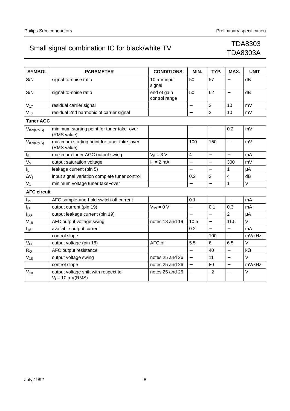| <b>SYMBOL</b>      | <b>PARAMETER</b>                                           | <b>CONDITIONS</b>            | MIN.                     | TYP.                     | MAX.                     | <b>UNIT</b> |
|--------------------|------------------------------------------------------------|------------------------------|--------------------------|--------------------------|--------------------------|-------------|
| S/N                | signal-to-noise ratio                                      | 10 mV input<br>signal        | 50                       | 57                       |                          | dB          |
| S/N                | signal-to-noise ratio                                      | end of gain<br>control range | 50                       | 62                       | $\overline{\phantom{0}}$ | dB          |
| $V_{17}$           | residual carrier signal                                    |                              | $\overline{\phantom{0}}$ | $\overline{2}$           | 10                       | mV          |
| $V_{17}$           | residual 2nd harmonic of carrier signal                    |                              |                          | $\overline{2}$           | 10                       | mV          |
| <b>Tuner AGC</b>   |                                                            |                              |                          |                          |                          |             |
| $V_{8-9(RMS)}$     | minimum starting point for tuner take-over<br>(RMS value)  |                              | $\qquad \qquad -$        | $\overline{\phantom{0}}$ | 0.2                      | mV          |
| $V_{8-9(RMS)}$     | maximum starting point for tuner take-over<br>(RMS value)  |                              | 100                      | 150                      | $\overline{\phantom{0}}$ | mV          |
| I <sub>5</sub>     | maximum tuner AGC output swing                             | $V_5 = 3 V$                  | 4                        | $\overline{\phantom{0}}$ | $\overline{\phantom{0}}$ | mA          |
| V <sub>5</sub>     | output saturation voltage                                  | $I_5 = 2 mA$                 |                          |                          | 300                      | mV          |
| IL.                | leakage current (pin 5)                                    |                              |                          | $\overline{\phantom{0}}$ | 1                        | μA          |
| $\Delta V_1$       | input signal variation complete tuner control              |                              | 0.2                      | $\overline{2}$           | $\overline{\mathbf{4}}$  | dB          |
| $V_1$              | minimum voltage tuner take-over                            |                              |                          |                          | 1                        | $\vee$      |
| <b>AFC circuit</b> |                                                            |                              |                          |                          |                          |             |
| $I_{19}$           | AFC sample-and-hold switch-off current                     |                              | 0.1                      | $\overline{a}$           | $\equiv$                 | mA          |
| l <sub>O</sub>     | output current (pin 19)                                    | $V_{19} = 0 V$               |                          | 0.1                      | 0.3                      | mA          |
| ILΟ                | output leakage current (pin 19)                            |                              |                          |                          | $\overline{2}$           | $\mu$ A     |
| $V_{18}$           | AFC output voltage swing                                   | notes 18 and 19              | 10.5                     | $\overline{a}$           | 11.5                     | $\vee$      |
| $I_{18}$           | available output current                                   |                              | 0.2                      | $\overline{\phantom{0}}$ | $\equiv$                 | mA          |
|                    | control slope                                              |                              |                          | 100                      | $\overline{\phantom{0}}$ | mV/kHz      |
| $V_{\rm O}$        | output voltage (pin 18)                                    | AFC off                      | 5.5                      | 6                        | 6.5                      | V           |
| $R_{\rm O}$        | AFC output resistance                                      |                              |                          | 40                       | $\overline{\phantom{0}}$ | $k\Omega$   |
| $V_{18}$           | output voltage swing                                       | notes 25 and 26              | $\equiv$                 | 11                       | $\equiv$                 | $\vee$      |
|                    | control slope                                              | notes 25 and 26              |                          | 80                       | $\overline{a}$           | mV/kHz      |
| $V_{18}$           | output voltage shift with respect to<br>$V_1 = 10$ mV(RMS) | notes 25 and 26              | $\qquad \qquad -$        | $-2$                     | $\overline{\phantom{0}}$ | V           |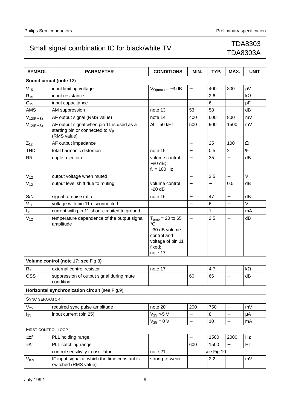| <b>SYMBOL</b>         | <b>PARAMETER</b>                                                                                        | <b>CONDITIONS</b>                                                                                                    | MIN.                     | TYP.       | MAX.                     | <b>UNIT</b> |
|-----------------------|---------------------------------------------------------------------------------------------------------|----------------------------------------------------------------------------------------------------------------------|--------------------------|------------|--------------------------|-------------|
|                       | Sound circuit (note 12)                                                                                 |                                                                                                                      |                          |            |                          |             |
| $V_{15}$              | input limiting voltage                                                                                  | $V_{O(max)} = -3 dB$                                                                                                 | $\qquad \qquad -$        | 400        | 800                      | μV          |
| $R_{15}$              | input resistance                                                                                        |                                                                                                                      |                          | 2.6        |                          | $k\Omega$   |
| $C_{15}$              | input capacitance                                                                                       |                                                                                                                      |                          | 6          | $\overline{\phantom{0}}$ | pF          |
| <b>AMS</b>            | AM suppression                                                                                          | note 13                                                                                                              | 53                       | 58         | $\equiv$                 | dB          |
| $V_{12(RMS)}$         | AF output signal (RMS value)                                                                            | note 14                                                                                                              | 400                      | 600        | 800                      | mV          |
| $V_{12(RMS)}$         | AF output signal when pin 11 is used as a<br>starting pin or connected to V <sub>P</sub><br>(RMS value) | $\Delta f = 50$ kHz                                                                                                  | 500                      | 900        | 1500                     | mV          |
| $Z_{12}$              | AF output impedance                                                                                     |                                                                                                                      | $\overline{\phantom{0}}$ | 25         | 100                      | $\Omega$    |
| THD                   | total harmonic distortion                                                                               | note 15                                                                                                              |                          | 0.5        | $\overline{2}$           | %           |
| <b>RR</b>             | ripple rejection                                                                                        | volume control<br>$-20$ dB;<br>$f_k = 100$ Hz                                                                        |                          | 35         | $\overline{\phantom{0}}$ | dB          |
| $V_{12}$              | output voltage when muted                                                                               |                                                                                                                      | $\overline{\phantom{0}}$ | 2.5        | $\qquad \qquad -$        | V           |
| $V_{12}$              | output level shift due to muting                                                                        | volume control<br>$-20$ dB                                                                                           |                          |            | 0.5                      | dB          |
| S/N                   | signal-to-noise ratio                                                                                   | note 16                                                                                                              | $\overline{\phantom{0}}$ | 47         | $\overline{\phantom{0}}$ | dB          |
| $V_{11}$              | voltage with pin 11 disconnected                                                                        |                                                                                                                      |                          | 6          | $\overline{\phantom{0}}$ | V           |
| $I_{11}$              | current with pin 11 short-circuited to ground                                                           |                                                                                                                      |                          | 1          | $\overline{\phantom{0}}$ | mA          |
| $V_{12}$              | temperature dependence of the output signal<br>amplitude                                                | $T_{amb}$ = 20 to 65<br>$\rm{^{\circ}C}$ :<br>-30 dB volume<br>control and<br>voltage of pin 11<br>fixed;<br>note 17 | $\overline{\phantom{0}}$ | 2.5        | $\overline{\phantom{0}}$ | dB          |
|                       | Volume control (note 17; see Fig.8)                                                                     |                                                                                                                      |                          |            |                          |             |
| $R_{11}$              | external control resistor                                                                               | note 17                                                                                                              |                          | 4.7        | $\overline{\phantom{0}}$ | $k\Omega$   |
| OSS                   | suppression of output signal during mute<br>condition                                                   |                                                                                                                      | 60                       | 66         | $\overline{\phantom{0}}$ | dB          |
|                       | Horizontal synchronization circuit (see Fig.9)                                                          |                                                                                                                      |                          |            |                          |             |
| <b>SYNC SEPARATOR</b> |                                                                                                         |                                                                                                                      |                          |            |                          |             |
| $V_{25}$              | required sync pulse amplitude                                                                           | note 20                                                                                                              | 200                      | 750        | $\overline{\phantom{0}}$ | mV          |
| $I_{25}$              | input current (pin 25)                                                                                  | $V_{25}$ > 5 V                                                                                                       |                          | 8          | $\overline{\phantom{0}}$ | μA          |
|                       |                                                                                                         | $V_{25} = 0 V$                                                                                                       | $\overline{\phantom{0}}$ | 10         | $\qquad \qquad -$        | mA          |
| FIRST CONTROL LOOP    |                                                                                                         |                                                                                                                      |                          |            |                          |             |
| $\pm\Delta f$         | PLL holding range                                                                                       |                                                                                                                      | $\overline{\phantom{0}}$ | 1500       | 2000                     | Hz          |
| $\pm \Delta f$        | PLL catching range                                                                                      |                                                                                                                      | 600                      | 1500       |                          | Hz          |
|                       | control sensitivity to oscillator                                                                       | note 21                                                                                                              |                          | see Fig.10 |                          |             |
| $V_{8-9}$             | IF input signal at which the time constant is<br>switched (RMS value)                                   | strong-to-weak                                                                                                       |                          | 2.2        |                          | mV          |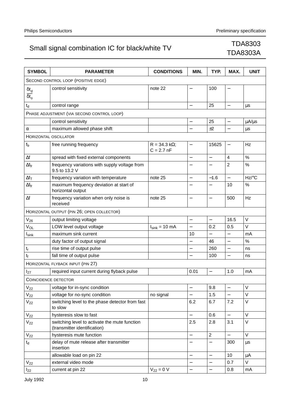| <b>SYMBOL</b>                                   | PARAMETER                                                                     | <b>CONDITIONS</b>                    | MIN.                     | TYP.                     | MAX.                     | <b>UNIT</b>         |
|-------------------------------------------------|-------------------------------------------------------------------------------|--------------------------------------|--------------------------|--------------------------|--------------------------|---------------------|
|                                                 | SECOND CONTROL LOOP (POSITIVE EDGE)                                           |                                      |                          |                          |                          |                     |
| $\delta t_{\sf d}$<br>$\overline{\delta t_{o}}$ | control sensitivity                                                           | note 22                              |                          | 100                      | $\overline{\phantom{0}}$ |                     |
| $t_d$                                           | control range                                                                 |                                      | $\qquad \qquad -$        | 25                       | $\qquad \qquad -$        | μs                  |
|                                                 | PHASE ADJUSTMENT (VIA SECOND CONTROL LOOP)                                    |                                      |                          |                          |                          |                     |
|                                                 | control sensitivity                                                           |                                      | $\overline{\phantom{0}}$ | 25                       | —                        | $\mu A/\mu s$       |
| α                                               | maximum allowed phase shift                                                   |                                      | $\overline{\phantom{0}}$ | ±2                       | $\overline{\phantom{0}}$ | $\mu s$             |
|                                                 | <b>HORIZONTAL OSCILLATOR</b>                                                  |                                      |                          |                          |                          |                     |
| $f_{fr}$                                        | free running frequency                                                        | $R = 34.3 k\Omega$ ;<br>$C = 2.7 nF$ | $\qquad \qquad -$        | 15625                    |                          | Hz                  |
| Δf                                              | spread with fixed external components                                         |                                      | —                        | $\overline{\phantom{0}}$ | 4                        | $\%$                |
| $\Delta f_{fr}$                                 | frequency variations with supply voltage from<br>9.5 to 13.2 V                |                                      |                          |                          | $\overline{2}$           | $\%$                |
| $\Delta f_T$                                    | frequency variation with temperature                                          | note 25                              | $\overline{a}$           | $-1.6$                   | $\overline{\phantom{0}}$ | $Hz$ <sup>o</sup> C |
| $\Delta f_{\text{fr}}$                          | maximum frequency deviation at start of<br>horizontal output                  |                                      |                          |                          | 10                       | %                   |
| $\Delta f$                                      | frequency variation when only noise is<br>received                            | note 25                              | $\overline{\phantom{0}}$ | $\overline{\phantom{0}}$ | 500                      | Hz                  |
|                                                 | HORIZONTAL OUTPUT (PIN 26; OPEN COLLECTOR)                                    |                                      |                          |                          |                          |                     |
| $V_{26}$                                        | output limiting voltage                                                       |                                      |                          | $\overline{\phantom{0}}$ | 16.5                     | V                   |
| VOL                                             | LOW level output voltage                                                      | $I_{sink}$ = 10 mA                   |                          | 0.2                      | 0.5                      | $\vee$              |
| I <sub>sink</sub>                               | maximum sink current                                                          |                                      | 10                       | $\overline{\phantom{0}}$ | $\overline{\phantom{0}}$ | mA                  |
|                                                 | duty factor of output signal                                                  |                                      |                          | 46                       |                          | %                   |
| $t_r$                                           | rise time of output pulse                                                     |                                      | $\overline{\phantom{0}}$ | 260                      | $\overline{\phantom{0}}$ | ns                  |
| $t_{\rm f}$                                     | fall time of output pulse                                                     |                                      | —                        | 100                      | $\overline{\phantom{0}}$ | ns                  |
|                                                 | HORIZONTAL FLYBACK INPUT (PIN 27)                                             |                                      |                          |                          |                          |                     |
| $I_{27}$                                        | required input current during flyback pulse                                   |                                      | 0.01                     | $\qquad \qquad -$        | 1.0                      | mA                  |
|                                                 | <b>COINCIDENCE DETECTOR</b>                                                   |                                      |                          |                          |                          |                     |
| $V_{22}$                                        | voltage for in-sync condition                                                 |                                      | $\overline{\phantom{0}}$ | 9.8                      | $\overline{\phantom{0}}$ | $\vee$              |
| $V_{22}$                                        | voltage for no-sync condition                                                 | no signal                            |                          | 1.5                      |                          | $\vee$              |
| $V_{22}$                                        | switching level to the phase detector from fast<br>to slow                    |                                      | 6.2                      | 6.7                      | 7.2                      | $\vee$              |
| $V_{22}$                                        | hysteresis slow to fast                                                       |                                      |                          | 0.6                      | $\overline{\phantom{0}}$ | $\vee$              |
| $V_{22}$                                        | switching level to activate the mute function<br>(transmitter identification) |                                      | 2.5                      | 2.8                      | 3.1                      | $\vee$              |
| $V_{22}$                                        | hysteresis mute function                                                      |                                      | $\overline{\phantom{0}}$ | $\overline{2}$           | $\overline{\phantom{0}}$ | $\vee$              |
| $t_d$                                           | delay of mute release after transmitter<br>insertion                          |                                      |                          | $\qquad \qquad -$        | 300                      | μs                  |
|                                                 | allowable load on pin 22                                                      |                                      | $\qquad \qquad -$        | $\overline{\phantom{0}}$ | 10                       | $\mu$ A             |
| $\rm V_{22}$                                    | external video mode                                                           |                                      | $\overline{\phantom{0}}$ | $\qquad \qquad -$        | 0.7                      | V                   |
| $I_{22}$                                        | current at pin 22                                                             | $V_{22} = 0 V$                       | $\frac{1}{2}$            | $\qquad \qquad -$        | 0.8                      | mA                  |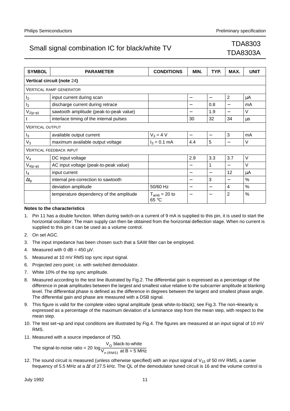# TDA8303A

| <b>SYMBOL</b>          | <b>PARAMETER</b>                        | <b>CONDITIONS</b>          | MIN.                     | TYP. | MAX.                              | <b>UNIT</b> |
|------------------------|-----------------------------------------|----------------------------|--------------------------|------|-----------------------------------|-------------|
|                        | Vertical circuit (note 24)              |                            |                          |      |                                   |             |
|                        | <b>VERTICAL RAMP GENERATOR</b>          |                            |                          |      |                                   |             |
| I <sub>2</sub>         | input current during scan               |                            | —                        | —    | 2                                 | μA          |
| I <sub>2</sub>         | discharge current during retrace        |                            |                          | 0.8  |                                   | mA          |
| $V_{2(p-p)}$           | sawtooth amplitude (peak-to-peak value) |                            |                          | 1.9  |                                   | V           |
|                        | interlace timing of the internal pulses |                            | 30                       | 32   | 34                                | us          |
| <b>VERTICAL OUTPUT</b> |                                         |                            |                          |      |                                   |             |
| $I_3$                  | available output current                | $V_3 = 4 V$                |                          | —    | 3                                 | mA          |
| $V_3$                  | maximum available output voltage        | $I_3 = 0.1$ mA             | 4.4                      | 5    |                                   | $\vee$      |
|                        | <b>VERTICAL FEEDBACK INPUT</b>          |                            |                          |      |                                   |             |
| $V_4$                  | DC input voltage                        |                            | 2.9                      | 3.3  | 3.7                               | $\vee$      |
| $V_{4(p-p)}$           | AC input voltage (peak-to-peak value)   |                            | —                        | 1    |                                   | V           |
| $I_4$                  | input current                           |                            | $\overline{\phantom{0}}$ | —    | 12                                | μA          |
| $\Delta t_{p}$         | internal pre-correction to sawtooth     |                            | —                        | 3    | $\overbrace{\phantom{123221111}}$ | %           |
|                        | deviation amplitude                     | 50/60 Hz                   | —                        | —    | 4                                 | $\%$        |
|                        | temperature dependency of the amplitude | $T_{amb}$ = 20 to<br>65 °C |                          |      | 2                                 | $\%$        |

#### **Notes to the characteristics**

- 1. Pin 11 has a double function. When during switch-on a current of 9 mA is supplied to this pin, it is used to start the horizontal oscillator. The main supply can then be obtained from the horizontal deflection stage. When no current is supplied to this pin it can be used as a volume control.
- 2. On set AGC.
- 3. The input impedance has been chosen such that a SAW filter can be employed.
- 4. Measured with 0 dB =  $450 \mu V$ .
- 5. Measured at 10 mV RMS top sync input signal.
- 6. Projected zero point; i.e. with switched demodulator.
- 7. White 10% of the top sync amplitude.
- 8. Measured according to the test line illustrated by Fig.2. The differential gain is expressed as a percentage of the difference in peak amplitudes between the largest and smallest value relative to the subcarrier amplitude at blanking level. The differential phase is defined as the difference in degrees between the largest and smallest phase angle. The differential gain and phase are measured with a DSB signal.
- 9. This figure is valid for the complete video signal amplitude (peak white-to-black); see Fig.3. The non−linearity is expressed as a percentage of the maximum deviation of a luminance step from the mean step, with respect to the mean step.
- 10. The test set−up and input conditions are illustrated by Fig.4. The figures are measured at an input signal of 10 mV RMS.
- 11. Measured with a source impedance of  $75\Omega$ .

The signal-to-noise ratio = 20  $\log_{\frac{1}{10}} \frac{V_{\odot}}{V_{\odot}}$  black-to-white  $log \frac{U}{V_{n(RMS)}}$  at B = 5 MHz

12. The sound circuit is measured (unless otherwise specified) with an input signal of  $V_{15}$  of 50 mV RMS, a carrier frequency of 5.5 MHz at a ∆f of 27.5 kHz. The QL of the demodulator tuned circuit is 16 and the volume control is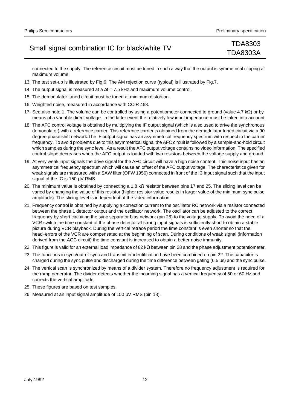# TDA8303A

connected to the supply. The reference circuit must be tuned in such a way that the output is symmetrical clipping at maximum volume.

- 13. The test set-up is illustrated by Fig.6. The AM rejection curve (typical) is illustrated by Fig.7.
- 14. The output signal is measured at a ∆f = 7.5 kHz and maximum volume control.
- 15. The demodulator tuned circuit must be tuned at minimum distortion.
- 16. Weighted noise, measured in accordance with CCIR 468.
- 17. See also note 1. The volume can be controlled by using a potentiometer connected to ground (value 4.7 kΩ) or by means of a variable direct voltage. In the latter event the relatively low input impedance must be taken into account.
- 18. The AFC control voltage is obtained by multiplying the IF output signal (which is also used to drive the synchronous demodulator) with a reference carrier. This reference carrier is obtained from the demodulator tuned circuit via a 90 degree phase shift network.The IF output signal has an asymmetrical frequency spectrum with respect to the carrier frequency. To avoid problems due to this asymmetrical signal the AFC circuit is followed by a sample-and-hold circuit which samples during the sync level. As a result the AFC output voltage contains no video information. The specified control slope decreases when the AFC output is loaded with two resistors between the voltage supply and ground.
- 19. At very weak input signals the drive signal for the AFC circuit will have a high noise content. This noise input has an asymmetrical frequency spectrum which will cause an offset of the AFC output voltage. The characteristics given for weak signals are measured with a SAW filter (OFW 1956) connected in front of the IC input signal such that the input signal of the IC is 150 µV RMS.
- 20. The minimum value is obtained by connecting a 1.8 kΩ resistor between pins 17 and 25. The slicing level can be varied by changing the value of this resistor (higher resistor value results in larger value of the minimum sync pulse amplitude). The slicing level is independent of the video information.
- 21. Frequency control is obtained by supplying a correction current to the oscillator RC network via a resistor connected between the phase 1 detector output and the oscillator network. The oscillator can be adjusted to the correct frequency by short circuiting the sync separator bias network (pin 25) to the voltage supply. To avoid the need of a VCR switch the time constant of the phase detector at strong input signals is sufficiently short to obtain a stable picture during VCR playback. During the vertical retrace period the time constant is even shorter so that the head−errors of the VCR are compensated at the beginning of scan. During conditions of weak signal (information derived from the AGC circuit) the time constant is increased to obtain a better noise immunity.
- 22. This figure is valid for an external load impedance of 82 k $\Omega$  between pin 28 and the phase adjustment potentiometer.
- 23. The functions in-sync/out-of-sync and transmitter identification have been combined on pin 22. The capacitor is charged during the sync pulse and discharged during the time difference between gating (6.5 µs) and the sync pulse.
- 24. The vertical scan is synchronized by means of a divider system. Therefore no frequency adjustment is required for the ramp generator. The divider detects whether the incoming signal has a vertical frequency of 50 or 60 Hz and corrects the vertical amplitude.
- 25. These figures are based on test samples.
- 26. Measured at an input signal amplitude of 150  $\mu$ V RMS (pin 18).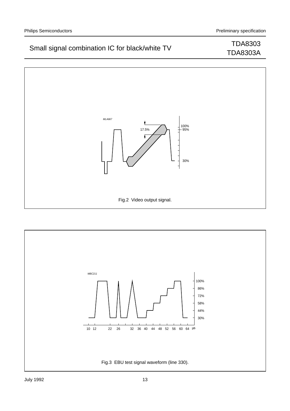TDA8303A

## Small signal combination IC for black/white TV TDA8303

# MLA667 t 100% 95%  $\exists$ 17.5% Ī 30% Fig.2 Video output signal.

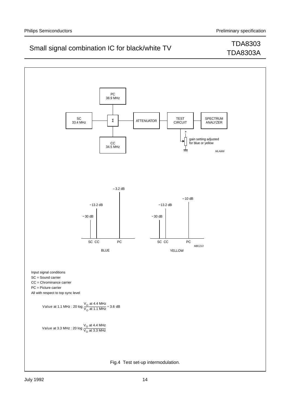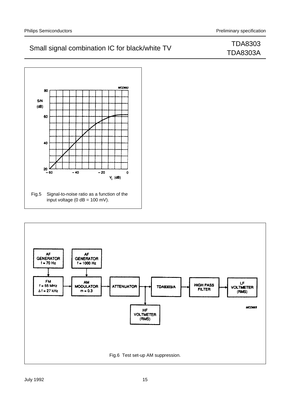

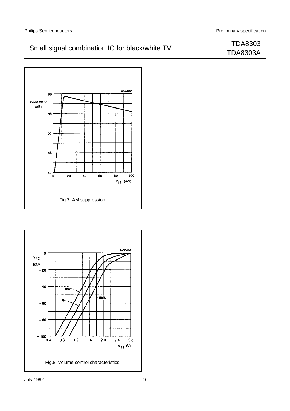

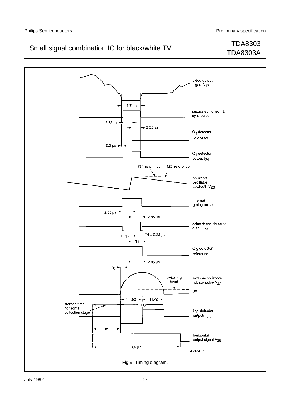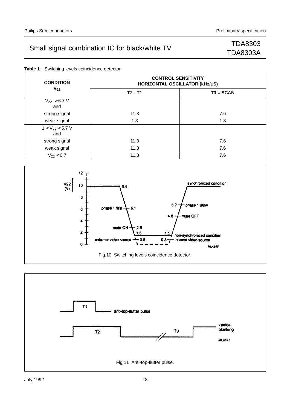|  | <b>Table 1</b> Switching levels coincidence detector |  |
|--|------------------------------------------------------|--|
|  |                                                      |  |

| <b>CONDITION</b>            | <b>CONTROL SENSITIVITY</b><br>HORIZONTAL OSCILLATOR (kHz/µS) |             |  |  |  |
|-----------------------------|--------------------------------------------------------------|-------------|--|--|--|
| $V_{22}$                    | $T2 - T1$                                                    | $T3 = SCAN$ |  |  |  |
| $V_{22}$ > 6.7 V<br>and     |                                                              |             |  |  |  |
| strong signal               | 11.3                                                         | 7.6         |  |  |  |
| weak signal                 | 1.3                                                          | 1.3         |  |  |  |
| $1 < V_{22} < 5.7 V$<br>and |                                                              |             |  |  |  |
| strong signal               | 11.3                                                         | 7.6         |  |  |  |
| weak signal                 | 11.3                                                         | 7.6         |  |  |  |
| $V_{22}$ < 0.7              | 11.3                                                         | 7.6         |  |  |  |



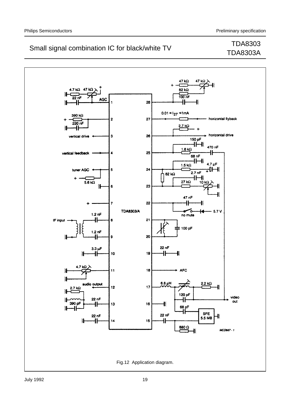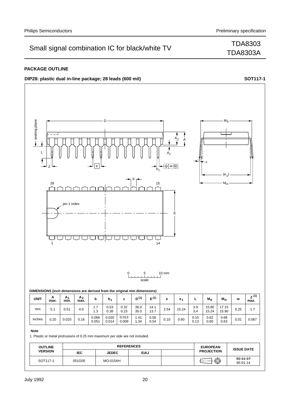TDA8303A

#### **PACKAGE OUTLINE**

**DIP28:** plastic dual in-line package; 28 leads (600 mil) **handbook**, full pagewidth **SOT117-1** 



#### **Note**

1. Plastic or metal protrusions of 0.25 mm maximum per side are not included.

| <b>OUTLINE</b> |            | <b>REFERENCES</b> |             |  | <b>EUROPEAN</b>   | <b>ISSUE DATE</b>          |
|----------------|------------|-------------------|-------------|--|-------------------|----------------------------|
| <b>VERSION</b> | <b>IEC</b> | <b>JEDEC</b>      | <b>EIAJ</b> |  | <b>PROJECTION</b> |                            |
| SOT117-1       | 051G05     | <b>MO-015AH</b>   |             |  | ⊕                 | $92 - 11 - 17$<br>95-01-14 |